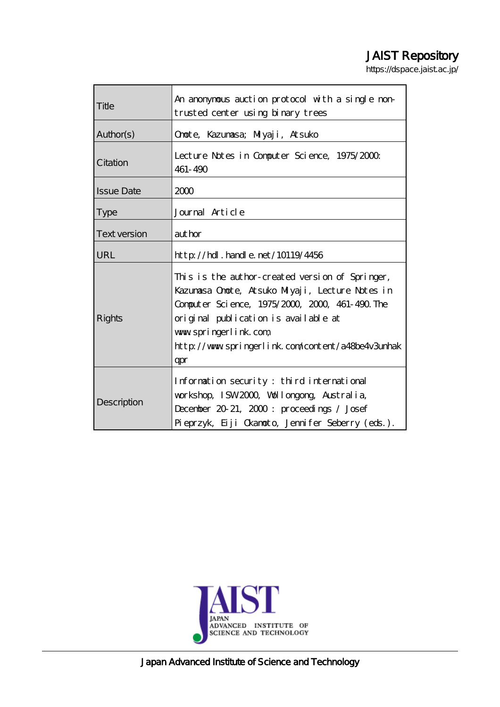# JAIST Repository

https://dspace.jaist.ac.jp/

|                     | An anonymous auction protocol with a single non-                                                                                                                                                                                                                                 |  |  |  |
|---------------------|----------------------------------------------------------------------------------------------------------------------------------------------------------------------------------------------------------------------------------------------------------------------------------|--|--|--|
| Title               | trusted center using binary trees                                                                                                                                                                                                                                                |  |  |  |
| Author(s)           | Onote, Kazunasa; Miyaji, Atsuko                                                                                                                                                                                                                                                  |  |  |  |
| Citation            | Lecture Notes in Computer Science, 1975/2000.<br>461-490                                                                                                                                                                                                                         |  |  |  |
| <b>Issue Date</b>   | 2000                                                                                                                                                                                                                                                                             |  |  |  |
| <b>Type</b>         | Journal Article                                                                                                                                                                                                                                                                  |  |  |  |
| <b>Text version</b> | aut hor                                                                                                                                                                                                                                                                          |  |  |  |
| URL                 | $\frac{\text{http}}{\text{1019/4456}}$ . handle. net / 10119/4456                                                                                                                                                                                                                |  |  |  |
| <b>Rights</b>       | This is the author-created version of Springer,<br>Kazumasa Onote, Atsuko Miyaji, Lecture Notes in<br>Computer Science, 1975/2000, 2000, 461-490. The<br>original publication is available at<br>www.springerlink.com<br>http://www.springerlink.com/content/a48be4v3unhak<br>qr |  |  |  |
| Description         | Information security: third international<br>workshop, ISW2000, Wollongong, Australia,<br>December 20-21, 2000: proceedings / Josef<br>Pieprzyk, Eiji Okanoto, Jennifer Seberry (eds.).                                                                                          |  |  |  |



Japan Advanced Institute of Science and Technology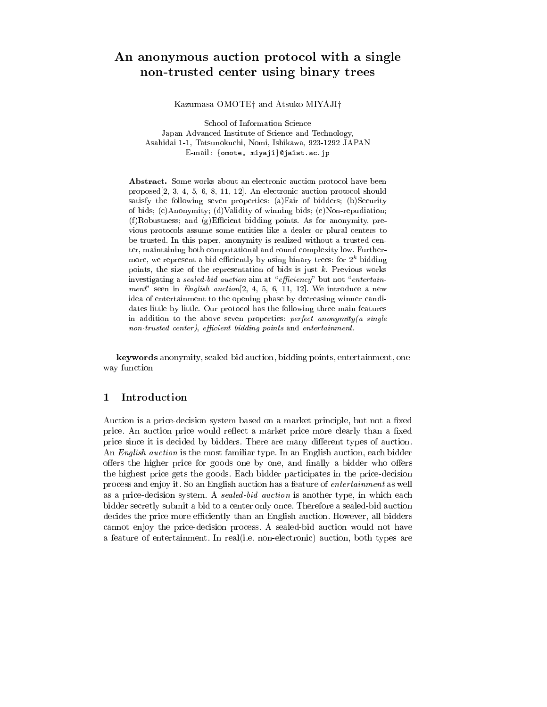## An anonymous auction protocol with a single non-trusted center using binary trees

Kazumasa OMOTE<sup>†</sup> and Atsuko MIYAJI<sup>†</sup>

School of Information Science Japan Advanced Institute of Science and Technology, Asahidai 1-1, Tatsunokuchi, Nomi, Ishikawa, 923-1292 JAPAN E-mail: {omote, miyaji}@jaist.ac.jp

Abstract. Some works about an electronic auction protocol have been proposed[2, 3, 4, 5, 6, 8, 11, 12]. An electronic auction protocol should satisfy the following seven properties: (a)Fair of bidders; (b)Security of bids; (c)Anonymity; (d)Validity of winning bids; (e)Non-repudiation;  $(f)$ Robustness; and  $(g)$ Efficient bidding points. As for anonymity, previous protocols assume some entities like a dealer or plural centers to be trusted. In this paper, anonymity is realized without a trusted center, maintaining both computational and round complexity low. Furthermore, we represent a bid efficiently by using binary trees: for  $2^k$  bidding points, the size of the representation of bids is just  $k$ . Previous works investigating a sealed-bid auction aim at "efficiency" but not "entertainment" seen in English auction  $[2, 4, 5, 6, 11, 12]$ . We introduce a new idea of entertainment to the opening phase by decreasing winner candidates little by little. Our protocol has the following three main features in addition to the above seven properties: perfect anonymity(a single non-trusted center), efficient bidding points and entertainment.

keywords anonymity, sealed-bid auction, bidding points, entertainment, one way function

### 1 Introduction

Auction is a price-decision system based on a market principle, but not a fixed price. An auction price would reflect a market price more clearly than a fixed price since it is decided by bidders. There are many different types of auction. An English auction is the most familiar type. In an English auction, each bidder offers the higher price for goods one by one, and finally a bidder who offers the highest price gets the goods. Each bidder participates in the price-decision process and enjoy it. So an English auction has a feature of entertainment as well as a price-decision system. A sealed-bid auction is another type, in which each bidder secretly submit a bid to a center only once. Therefore a sealed-bid auction decides the price more efficiently than an English auction. However, all bidders cannot enjoy the price-decision process. A sealed-bid auction would not have a feature of entertainment. In real(i.e. non-electronic) auction, both types are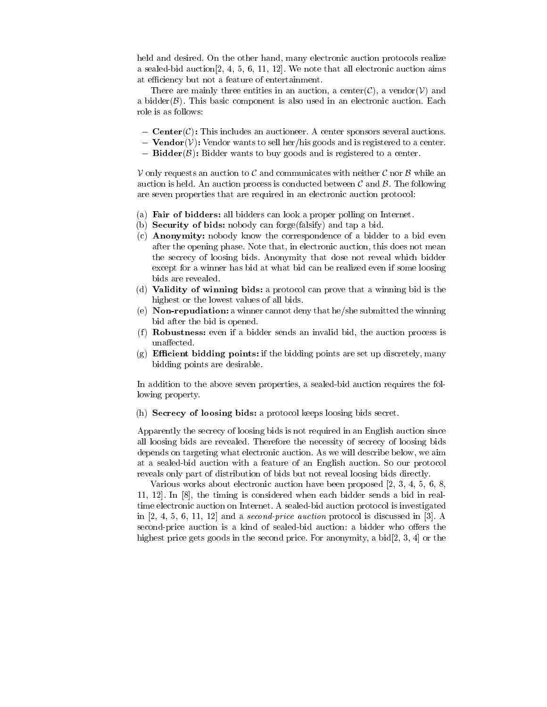held and desired. On the other hand, many electronic auction protocols realize a sealed-bid auction[2, 4, 5, 6, 11, 12]. We note that all electronic auction aims at efficiency but not a feature of entertainment.

There are mainly three entities in an auction, a center $(\mathcal{C})$ , a vendor $(\mathcal{V})$  and a bidder $(\beta)$ . This basic component is also used in an electronic auction. Each role is as follows:

- ${ \bf Center}(\mathcal{C})$ : This includes an auctioneer. A center sponsors several auctions.
- **Vendor**( $V$ ): Vendor wants to sell her/his goods and is registered to a center.
- ${\bf B}$ idder( $\beta$ ): Bidder wants to buy goods and is registered to a center.

 $V$  only requests an auction to C and communicates with neither C nor B while an auction is held. An auction process is conducted between  $\mathcal C$  and  $\mathcal B$ . The following are seven properties that are required in an electronic auction protocol:

- (a) Fair of bidders: all bidders can look a proper polling on Internet.
- (b) Security of bids: nobody can forge(falsify) and tap a bid.
- (c) Anonymity: nobody know the correspondence of a bidder to a bid even after the opening phase. Note that, in electronic auction, this does not mean the secrecy of loosing bids. Anonymity that dose not reveal which bidder except for a winner has bid at what bid can be realized even if some loosing bids are revealed.
- (d) Validity of winning bids: a protocol can prove that a winning bid is the highest or the lowest values of all bids.
- (e) Non-repudiation: a winner cannot deny that he/she submitted the winning bid after the bid is opened.
- (f) **Robustness:** even if a bidder sends an invalid bid, the auction process is unaffected.
- (g) **Efficient bidding points:** if the bidding points are set up discretely, many bidding points are desirable.

In addition to the above seven properties, a sealed-bid auction requires the following property.

(h) Secrecy of loosing bids: a protocol keeps loosing bids secret.

Apparently the secrecy of loosing bids is not required in an English auction since all loosing bids are revealed. Therefore the necessity of secrecy of loosing bids depends on targeting what electronic auction. As we will describe below, we aim at a sealed-bid auction with a feature of an English auction. So our protocol reveals only part of distribution of bids but not reveal loosing bids directly.

Various works about electronic auction have been proposed [2, 3, 4, 5, 6, 8, 11, 12]. In [8], the timing is considered when each bidder sends a bid in realtime electronic auction on Internet. A sealed-bid auction protocol is investigated in  $[2, 4, 5, 6, 11, 12]$  and a *second-price auction* protocol is discussed in  $[3]$ . A second-price auction is a kind of sealed-bid auction: a bidder who offers the highest price gets goods in the second price. For anonymity, a bid[2, 3, 4] or the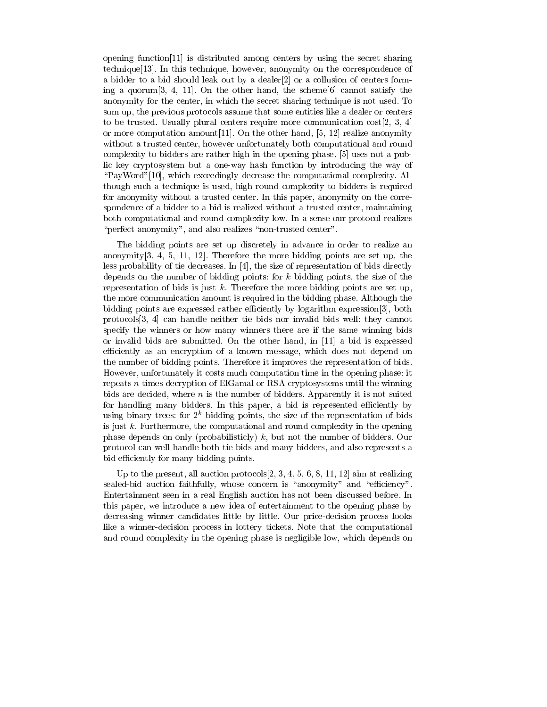opening function[11] is distributed among centers by using the secret sharing technique[13]. In this technique, however, anonymity on the correspondence of a bidder to a bid should leak out by a dealer[2] or a collusion of centers forming a quorum[3, 4, 11]. On the other hand, the scheme[6] cannot satisfy the anonymity for the center, in which the secret sharing technique is not used. To sum up, the previous protocols assume that some entities like a dealer or centers to be trusted. Usually plural centers require more communication cost [2, 3, 4] or more computation amount[11]. On the other hand, [5, 12] realize anonymity without a trusted center, however unfortunately both computational and round complexity to bidders are rather high in the opening phase. [5] uses not a public key cryptosystem but a one-way hash function by introducing the way of \PayWord"[10], which exceedingly decrease the computational complexity. Although such a technique is used, high round complexity to bidders is required for anonymity without a trusted center. In this paper, anonymity on the correspondence of a bidder to a bid is realized without a trusted center, maintaining both computational and round complexity low. In a sense our protocol realizes "perfect anonymity", and also realizes "non-trusted center".

The bidding points are set up discretely in advance in order to realize an anonymity[3, 4, 5, 11, 12]. Therefore the more bidding points are set up, the less probability of tie decreases. In [4], the size of representation of bids directly depends on the number of bidding points: for  $k$  bidding points, the size of the representation of bids is just  $k$ . Therefore the more bidding points are set up, the more communication amount is required in the bidding phase. Although the bidding points are expressed rather efficiently by logarithm expression[3], both protocols[3, 4] can handle neither tie bids nor invalid bids well: they cannot specify the winners or how many winners there are if the same winning bids or invalid bids are submitted. On the other hand, in  $[11]$  a bid is expressed efficiently as an encryption of a known message, which does not depend on the number of bidding points. Therefore it improves the representation of bids. However, unfortunately it costs much computation time in the opening phase: it repeats n times decryption of ElGamal or RSA cryptosystems until the winning bids are decided, where  $n$  is the number of bidders. Apparently it is not suited for handling many bidders. In this paper, a bid is represented efficiently by using binary trees: for  $2^k$  bidding points, the size of the representation of bids is just  $k$ . Furthermore, the computational and round complexity in the opening phase depends on only (probabilisticly) k, but not the number of bidders. Our protocol can well handle both tie bids and many bidders, and also represents a bid efficiently for many bidding points.

Up to the present, all auction protocols  $[2, 3, 4, 5, 6, 8, 11, 12]$  aim at realizing sealed-bid auction faithfully, whose concern is "anonymity" and "efficiency". Entertainment seen in a real English auction has not been discussed before. In this paper, we introduce a new idea of entertainment to the opening phase by decreasing winner candidates little by little. Our price-decision process looks like a winner-decision process in lottery tickets. Note that the computational and round complexity in the opening phase is negligible low, which depends on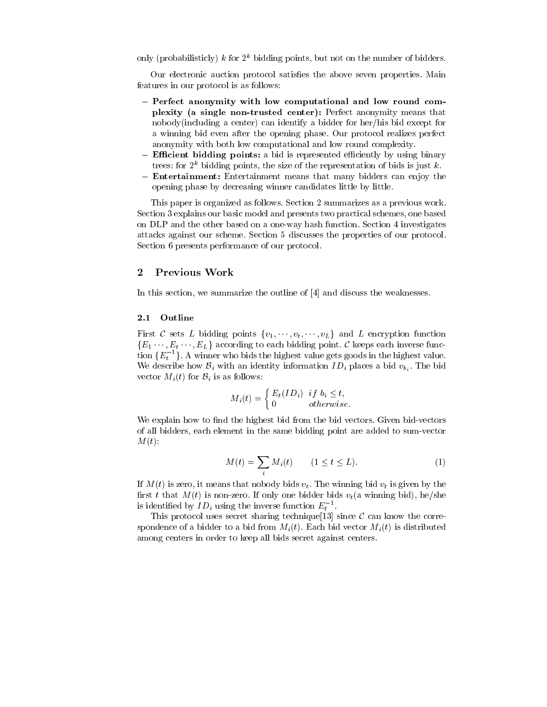only (probabilisticly) k for  $2^k$  bidding points, but not on the number of bidders.

Our electronic auction protocol satisfies the above seven properties. Main features in our protocol is as follows:

- Perfect anonymity with low computational and low round complexity (a single non-trusted center): Perfect anonymity means that nobody(including a center) can identify a bidder for her/his bid except for a winning bid even after the opening phase. Our protocol realizes perfect anonymity with both low computational and low round complexity.
- Efficient bidding points: a bid is represented efficiently by using binary trees: for  $2^k$  bidding points, the size of the representation of bids is just k.
- **Entertainment:** Entertainment means that many bidders can enjoy the opening phase by decreasing winner candidates little by little.

This paper is organized as follows. Section 2 summarizes as a previous work. Section 3 explains our basic model and presents two practical schemes, one based on DLP and the other based on a one-way hash function. Section 4 investigates attacks against our scheme. Section 5 discusses the properties of our protocol. Section 6 presents performance of our protocol.

#### $\overline{2}$ Previous Work

In this section, we summarize the outline of [4] and discuss the weaknesses.

#### 2.1 Outline

First C sets L bidding points  $\{v_1, \dots, v_t, \dots, v_L\}$  and L encryption function  ${E_1 \cdots, E_t \cdots, E_L}$  according to each bidding point. C keeps each inverse function  $\{E_t^{-1}\}$ . A winner who bids the highest value gets goods in the highest value. We describe how  $\mathcal{B}_i$  with an identity information  $ID_i$  places a bid  $v_{b_i}$ . The bid vector  $M_i(t)$  for  $B_i$  is as follows:

$$
M_i(t) = \begin{cases} E_t(ID_i) & \text{if } b_i \le t, \\ 0 & \text{otherwise.} \end{cases}
$$

We explain how to find the highest bid from the bid vectors. Given bid-vectors of all bidders, each element in the same bidding point are added to sum-vector  $M(t)$ :

$$
M(t) = \sum_{i} M_i(t) \qquad (1 \le t \le L). \tag{1}
$$

If  $M(t)$  is zero, it means that nobody bids  $v_t$ . The winning bid  $v_t$  is given by the first t that  $M(t)$  is non-zero. If only one bidder bids  $v_t$  (a winning bid), he/she is identified by  $ID_i$  using the inverse function  $E_i$ .

This protocol uses secret sharing technique [13] since  $\mathcal C$  can know the correspondence of a bidder to a bid from  $M_i(t)$ . Each bid vector  $M_i(t)$  is distributed among centers in order to keep all bids secret against centers.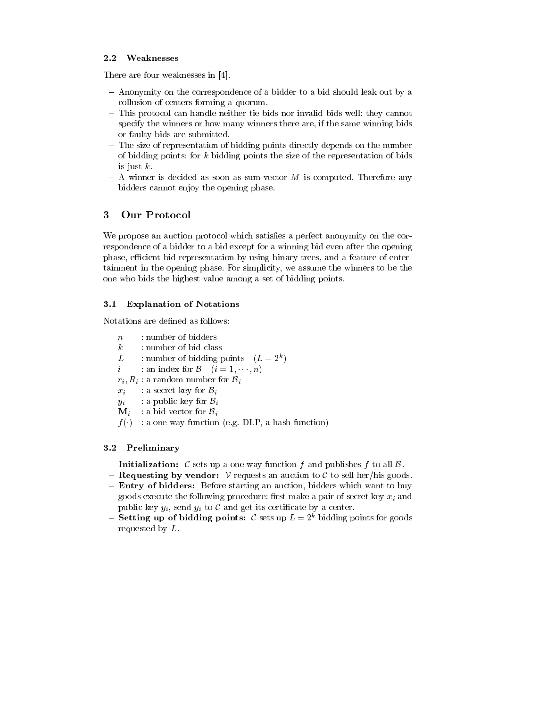#### $2.2$ **Weaknesses**

There are four weaknesses in [4].

- { Anonymity on the correspondence of a bidder to a bid should leak out by a collusion of centers forming a quorum.
- This protocol can handle neither tie bids nor invalid bids well: they cannot specify the winners or how many winners there are, if the same winning bids or faulty bids are submitted.
- The size of representation of bidding points directly depends on the number of bidding points: for k bidding points the size of the representation of bids is just  $k$ .
- ${ A}$  winner is decided as soon as sum-vector M is computed. Therefore any bidders cannot enjoy the opening phase.

#### 3 **Our Protocol**

We propose an auction protocol which satisfies a perfect anonymity on the correspondence of a bidder to a bid except for a winning bid even after the opening phase, efficient bid representation by using binary trees, and a feature of entertainment in the opening phase. For simplicity, we assume the winners to be the one who bids the highest value among a set of bidding points.

## 3.1 Explanation of Notations

- n: number of bidders
- k: number of bid class
- L: number of bidding points  $(L = 2^{\circ})$
- i: an index for  $\mathcal{B}$   $(i = 1, \dots, n)$
- $r_i, R_i$ : a random number for  $B_i$
- $x_i$  a secret key for  $\mathcal{B}_i$
- $y_i$  : a public key for  $B_i$
- $\mathbf{M}_i$  : a bid vector for  $\mathcal{B}_i$
- $f(t)$  : a one-way function (e.g. DLF, a hash function)

### 3.2 Preliminary

- ${\sf I}$  Initialization: C sets up a one-way function f and publishes f to all B.
- **Requesting by vendor:**  $V$  requests an auction to  $C$  to sell her/his goods.
- Entry of bidders: Before starting an auction, bidders which want to buy goods execute the following procedure: first make a pair of secret key  $x_i$  and public key  $y_i$ , send  $y_i$  to  $\mathcal C$  and get its certificate by a center.
- ${\sf ~Setting~up~of~ bidding~points:~\mathcal{C}~sets~up~L=2^k~bidding~points~for~goods~}$ requested by L.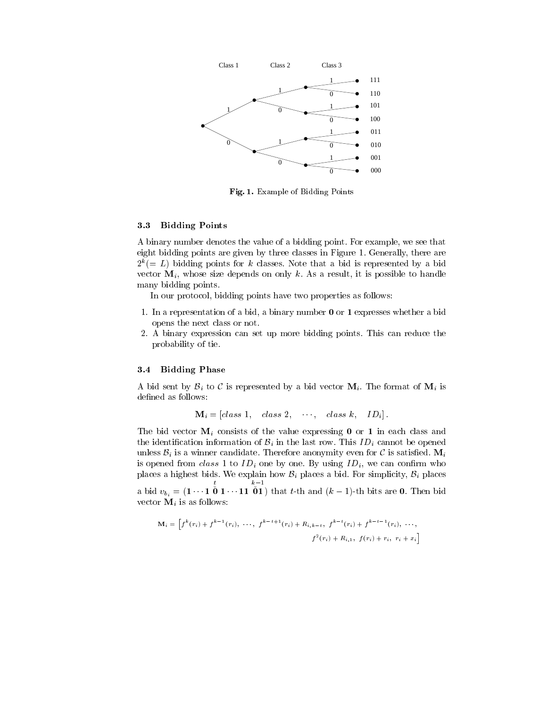

Fig. 1. Example of Bidding Points

#### 3.3 Bidding Points

A binary number denotes the value of a bidding point. For example, we see that eight bidding points are given by three classes in Figure 1. Generally, there are  $Z^*(\equiv L)$  bidding points for k classes. Note that a bid is represented by a bid vector  $M_i$ , whose size depends on only k. As a result, it is possible to handle many bidding points.

In our protocol, bidding points have two properties as follows:

- 1. In a representation of a bid, a binary number 0 or 1 expresses whether a bid opens the next class or not.
- 2. A binary expression can set up more bidding points. This can reduce the probability of tie.

#### 3.4 Bidding Phase

A bid sent by  $\mathcal{B}_i$  to C is represented by a bid vector  $\mathbf{M}_i$ . The format of  $\mathbf{M}_i$  is defined as follows:

$$
\mathbf{M}_i = [class\ 1, \quad class\ 2, \quad \cdots, \quad class\ k, \quad ID_i].
$$

The bid vector  $M_i$  consists of the value expressing 0 or 1 in each class and the identification information of  $B_i$  in the last row. This  $ID_i$  cannot be opened unless  $\mathcal{B}_i$  is a winner candidate. Therefore anonymity even for C is satisfied.  $\mathbf{M}_i$ is opened from class 1 to  $ID_i$  one by one. By using  $ID_i$ , we can confirm who places a highest bids. We explain how  $\mathcal{B}_i$  places a bid. For simplicity,  $\mathcal{B}_i$  places a bid  $v_{b_i} = (1 \cdots 1 \mathbf{0} \mathbf{1} \cdots 11 \mathbf{0} \mathbf{1})$  that t-th and  $(k-1)$ -th bits are 0. Then bid vector  $M_i$  is as follows:

$$
\mathbf{M}_{i} = \left[ f^{k}(r_{i}) + f^{k-1}(r_{i}), \cdots, f^{k-t+1}(r_{i}) + R_{i,k-t}, f^{k-t}(r_{i}) + f^{k-t-1}(r_{i}), \cdots, f^{k-t+1}(r_{i}) + R_{i,1}, f(r_{i}) + r_{i}, r_{i} + x_{i} \right]
$$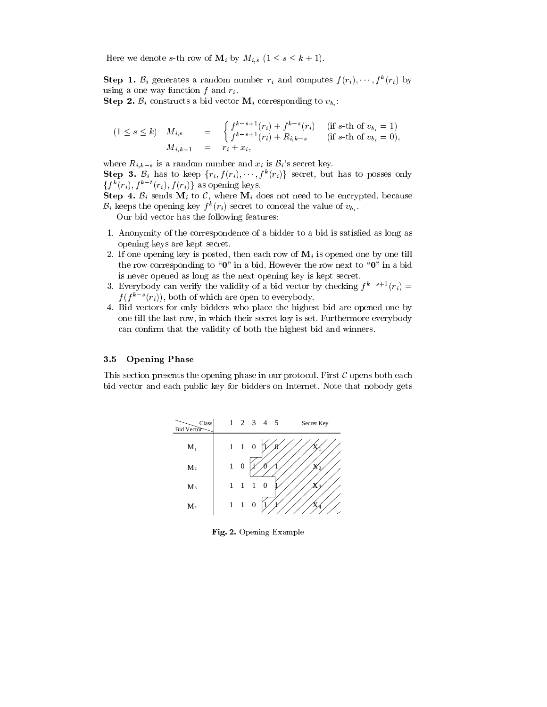Here we denote s-th row of  $\mathbf{M}_i$  by  $M_{i,s}$   $(1 \leq s \leq k+1)$ .

**Step 1.**  $\mathcal{B}_i$  generates a random number  $r_i$  and computes  $f(r_i), \dots, f^k(r_i)$  by using a one way function  $f$  and  $r_i$ .

**Step 2.**  $\mathcal{B}_i$  constructs a bid vector  $\mathbf{M}_i$  corresponding to  $v_{b,i}$ :

$$
(1 \le s \le k) \quad M_{i,s} = \begin{cases} f^{k-s+1}(r_i) + f^{k-s}(r_i) & \text{if } s \text{-th of } v_{b_i} = 1\\ f^{k-s+1}(r_i) + R_{i,k-s} & \text{if } s \text{-th of } v_{b_i} = 0, \end{cases}
$$
\n
$$
M_{i,k+1} = r_i + x_i,
$$

where  $R_{i,k-s}$  is a random number and  $x_i$  is  $\mathcal{B}_i$ 's secret key. **Step 3.**  $\mathcal{B}_i$  has to keep  $\{r_i, f(r_i), \dots, f^k(r_i)\}$  secret, but has to posses only  $\{f^k(r_i), f^{k-t}(r_i), f(r_i)\}\$ as opening keys.

Step 4.  $\mathcal{B}_i$  sends  $\mathbf{M}_i$  to  $\mathcal{C}$ , where  $\mathbf{M}_i$  does not need to be encrypted, because  $\mathcal{B}_i$  keeps the opening key  $f^k(r_i)$  secret to conceal the value of  $v_{b_i}$ .

Our bid vector has the following features:

- 1. Anonymity of the correspondence of a bidder to a bid is satised as long as opening keys are kept secret.
- 2. If one opening key is posted, then each row of  $\mathbf{M}_i$  is opened one by one till the row corresponding to " $0$ " in a bid. However the row next to " $0$ " in a bid is never opened as long as the next opening key is kept secret.
- 3. Everybody can verify the validity of a bid vector by checking  $f^* \to (r_i) = 1$  $f(f - (r_i))$ , both of which are open to everybody.
- 4. Bid vectors for only bidders who place the highest bid are opened one by one till the last row, in which their secret key is set. Furthermore everybody can confirm that the validity of both the highest bid and winners.

#### 3.5 Opening Phase

This section presents the opening phase in our protocol. First  $\mathcal C$  opens both each bid vector and each public key for bidders on Internet. Note that nobody gets



Fig. 2. Opening Example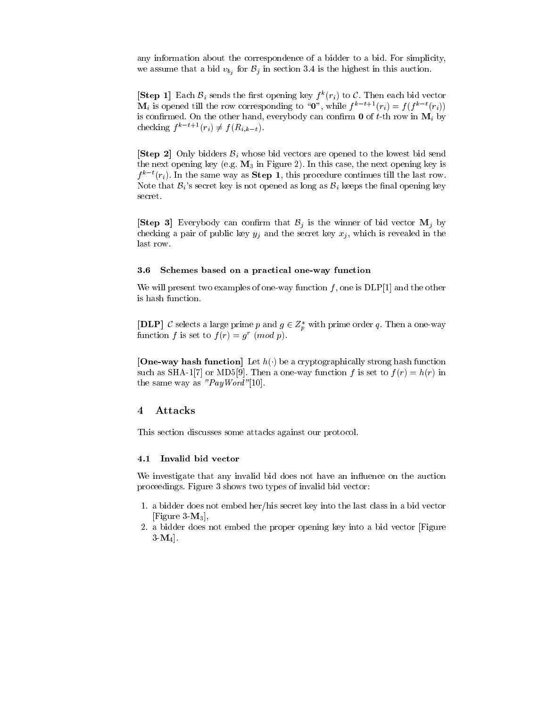any information about the correspondence of a bidder to a bid. For simplicity, we assume that a bid  $v_{b_i}$  for  $\mathcal{B}_i$  in section 3.4 is the highest in this auction.

**Subset 1.** Each  $\mathcal{B}_i$  sends the first opening key  $f^k(r_i)$  to C. Then each bid vector  $\mathbf{M}_i$  is opened till the row corresponding to "0", while  $f^{k-t+1}(r_i) = f (f^{k-t}(r_i))$ is confirmed. On the other hand, everybody can confirm  $\mathbf{0}$  of t-th row in  $\mathbf{M}_i$  by checking  $f^{k-t+1}(r_i) \neq f(R_{i,k-t}).$ 

**[Step 2]** Only bidders  $\mathcal{B}_i$  whose bid vectors are opened to the lowest bid send the next opening key (e.g.  $M_3$  in Figure 2). In this case, the next opening key is  $f^*$  for  $(r_i)$ . In the same way as  $\mathbf{Step 1}$ , this procedure continues till the last row. Note that  $\mathcal{B}_i$ 's secret key is not opened as long as  $\mathcal{B}_i$  keeps the final opening key secret.

**[Step 3]** Everybody can confirm that  $\mathcal{B}_i$  is the winner of bid vector  $\mathbf{M}_i$  by checking a pair of public key  $y_j$  and the secret key  $x_j$ , which is revealed in the last row.

#### 3.6 Schemes based on a practical one-way function

We will present two examples of one-way function f, one is  $DLP[1]$  and the other is hash function.

[DLP] C selects a large prime p and  $g \in Z_p^*$  with prime order q. Then a one-way function f is set to  $f(r) = g^r \pmod{p}$ .

[One-way hash function] Let  $h(\cdot)$  be a cryptographically strong hash function such as SHA-1[7] or MD5[9]. Then a one-way function f is set to  $f(r) = h(r)$  in the same way as  $"PayWord"$ [10].

#### 4 Attacks

This section discusses some attacks against our protocol.

#### $4.1$ Invalid bid vector

We investigate that any invalid bid does not have an influence on the auction proceedings. Figure 3 shows two types of invalid bid vector:

- 1. a bidder does not embed her/his secret key into the last class in a bid vector [Figure  $3-M_3$ ],
- 2. a bidder does not embed the proper opening key into a bid vector [Figure  $3 \mathbf{M}_4$ .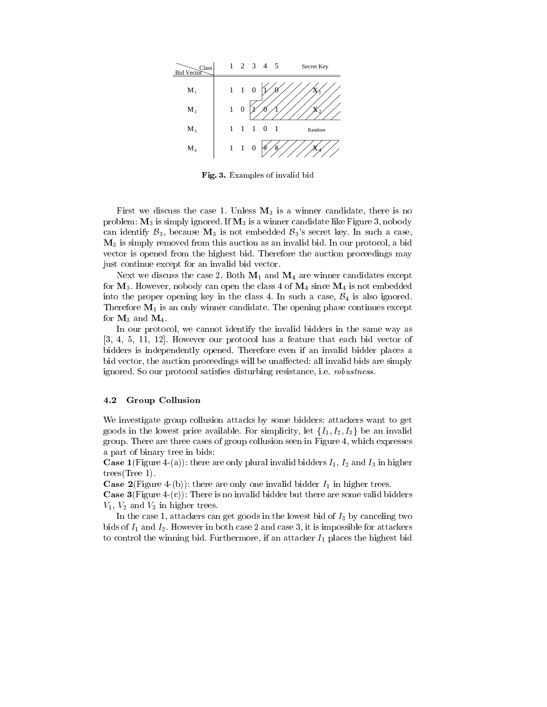

Fig. 3. Examples of invalid bid

First we discuss the case 1. Unless  $M_3$  is a winner candidate, there is no problem:  $M_3$  is simply ignored. If  $M_3$  is a winner candidate like Figure 3, nobody can identify  $\mathcal{B}_3$ , because  $\mathbf{M}_3$  is not embedded  $\mathcal{B}_3$ 's secret key. In such a case, M3 is simply removed from this auction as an invalid bid. In our protocol, a bid vector is opened from the highest bid. Therefore the auction proceedings may just continue except for an invalid bid vector.

Next we discuss the case 2. Both  $M_1$  and  $M_4$  are winner candidates except for  $M_3$ . However, nobody can open the class 4 of  $M_4$  since  $M_4$  is not embedded into the proper opening key in the class 4. In such a case,  $\mathcal{B}_4$  is also ignored. Therefore  $M_1$  is an only winner candidate. The opening phase continues except for  $M_3$  and  $M_4$ .

In our protocol, we cannot identify the invalid bidders in the same way as [3, 4, 5, 11, 12]. However our protocol has a feature that each bid vector of bidders is independently opened. Therefore even if an invalid bidder places a bid vector, the auction proceedings will be unaffected: all invalid bids are simply ignored. So our protocol satisfies disturbing resistance, i.e. *robustness*.

#### 4.2 Group Collusion

We investigate group collusion attacks by some bidders: attackers want to get goods in the lowest price available. For simplicity, let  $\{I_1, I_2, I_3\}$  be an invalid group. There are three cases of group collusion seen in Figure 4, which expresses a part of binary tree in bids:

**Case 1**(Figure 4-(a)): there are only plural invalid bidders  $I_1$ ,  $I_2$  and  $I_3$  in higher trees(Tree 1).

**Case 2**(Figure 4-(b)): there are only one invalid bidder  $I_1$  in higher trees.

**Case 3**(Figure 4-(c)): There is no invalid bidder but there are some valid bidders  $V_1$ ,  $V_2$  and  $V_3$  in higher trees.

In the case 1, attackers can get goods in the lowest bid of  $I_3$  by canceling two bids of  $I_1$  and  $I_2$ . However in both case 2 and case 3, it is impossible for attackers to control the winning bid. Furthermore, if an attacker  $I_1$  places the highest bid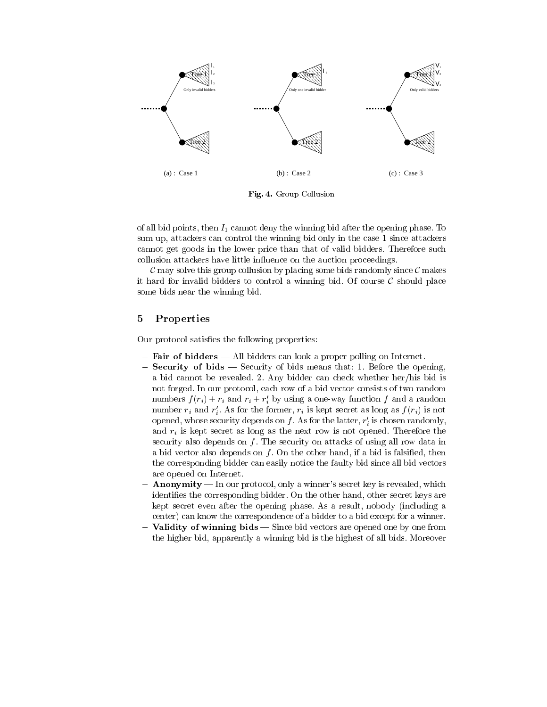

Fig. 4. Group Collusion

of all bid points, then  $I_1$  cannot deny the winning bid after the opening phase. To sum up, attackers can control the winning bid only in the case 1 since attackers cannot get goods in the lower price than that of valid bidders. Therefore such collusion attackers have little influence on the auction proceedings.

C may solve this group collusion by placing some bids randomly since C makes it hard for invalid bidders to control a winning bid. Of course  $\mathcal C$  should place some bids near the winning bid.

### 5 Properties

Our protocol satisfies the following properties:

- Fair of bidders All bidders can look a proper polling on Internet.
- Security of bids Security of bids means that: 1. Before the opening, a bid cannot be revealed. 2. Any bidder can check whether her/his bid is not forged. In our protocol, each row of a bid vector consists of two random numbers  $f(r_i) + r_i$  and  $r_i + r_j$  by using a one-way function f and a random number  $r_i$  and  $r_i$ . As for the former,  $r_i$  is kept secret as long as  $f(r_i)$  is not opened, whose security depends on  $f$  . As for the latter,  $r_i$  is chosen randomly, and  $r_i$  is kept secret as long as the next row is not opened. Therefore the security also depends on  $f$ . The security on attacks of using all row data in a bid vector also depends on  $f$ . On the other hand, if a bid is falsified, then the corresponding bidder can easily notice the faulty bid since all bid vectors are opened on Internet.
- ${~\bf Anonymity-}$  In our protocol, only a winner's secret key is revealed, which identifies the corresponding bidder. On the other hand, other secret keys are kept secret even after the opening phase. As a result, nobody (including a center) can know the correspondence of a bidder to a bid except for a winner.
- **Validity of winning bids** Since bid vectors are opened one by one from the higher bid, apparently a winning bid is the highest of all bids. Moreover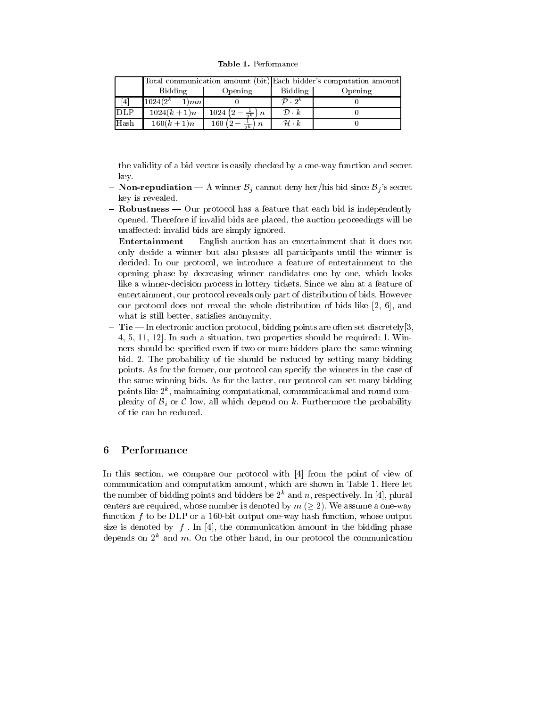Table 1. Performance

|                 |                 |                                    | Total communication amount (bit) Each bidder's computation amount |         |
|-----------------|-----------------|------------------------------------|-------------------------------------------------------------------|---------|
|                 | Bidding         | Opening                            | Bidding                                                           | Opening |
| $\vert 4 \vert$ | $1024(2^k-1)mn$ |                                    | $\mathcal{D}$ $\cdot$ $2^k$                                       |         |
| <b>DLP</b>      | $1024(k + 1)n$  | $1024(2-\frac{1}{2k})n$            | $\mathcal{D}\cdot k$                                              |         |
| Hash            | $160(k + 1)n$   | 160 $\left(2-\frac{1}{2k}\right)n$ | $\mathcal{H} \cdot k$                                             |         |

the validity of a bid vector is easily checked by a one-way function and secret key.

- ${\bf Non-repudiation A}$  winner  ${\cal B}_i$  cannot deny her/his bid since  ${\cal B}_i$ 's secret key is revealed. key is revealed. The contract of the contract of the contract of the contract of the contract of the contract o
- ${\sf \bf = \textbf{Robustness} \textcolor{red}{\boldsymbol{\text{}}}}$  Our protocol has a feature that each bid is independently opened. Therefore if invalid bids are placed, the auction proceedings will be unaffected: invalid bids are simply ignored.
- ${\bf -}$  Entertainment  ${\bf -}$  English auction has an entertainment that it does not only decide a winner but also pleases all participants until the winner is decided. In our protocol, we introduce a feature of entertainment to the opening phase by decreasing winner candidates one by one, which looks like a winner-decision process in lottery tickets. Since we aim at a feature of entertainment, our protocol reveals only part of distribution of bids. However our protocol does not reveal the whole distribution of bids like [2, 6], and what is still better, satisfies anonymity.
- ${\bf -Tie}$  In electronic auction protocol, bidding points are often set discretely[3, 4, 5, 11, 12]. In such a situation, two properties should be required: 1. Winners should be specied even if two or more bidders place the same winning bid. 2. The probability of tie should be reduced by setting many bidding points. As for the former, our protocol can specify the winners in the case of the same winning bids. As for the latter, our protocol can set many bidding points like 2<sup>k</sup> , maintaining computational, communicational and round complexity of  $B_i$  or  $C$  low, all which depend on  $k$ . Furthermore the probability of tie can be reduced.

### 6 Performance

In this section, we compare our protocol with [4] from the point of view of communication and computation amount, which are shown in Table 1. Here let the number of bidding points and bidders be  $2^k$  and n, respectively. In [4], plural centers are required, whose number is denoted by  $m \ (\geq 2)$ . We assume a one-way function  $f$  to be DLP or a 160-bit output one-way hash function, whose output size is denoted by  $|f|$ . In [4], the communication amount in the bidding phase depends on  $2^k$  and m. On the other hand, in our protocol the communication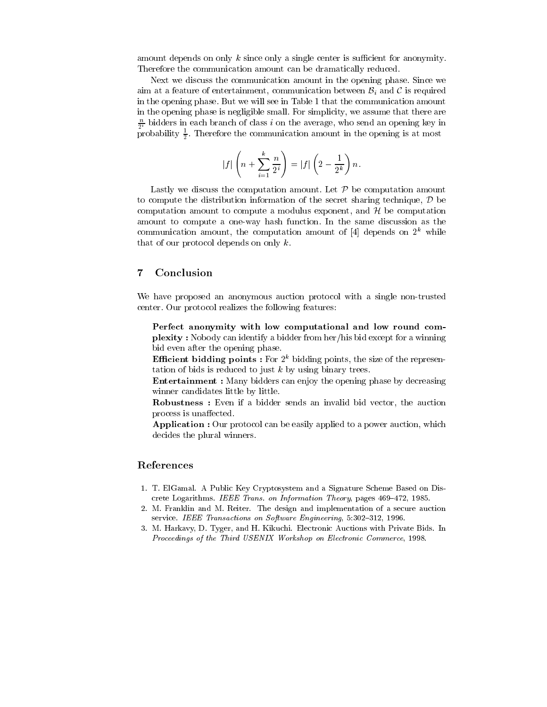amount depends on only  $k$  since only a single center is sufficient for anonymity. Therefore the communication amount can be dramatically reduced.

Next we discuss the communication amount in the opening phase. Since we aim at a feature of entertainment, communication between  $\mathcal{B}_i$  and C is required in the opening phase. But we will see in Table 1 that the communication amount in the opening phase is negligible small. For simplicity, we assume that there are  $\frac{1}{2^i}$  bidders in each branch of class  $i$  on the average, who send an opening key in probability  $\frac{1}{2}$ . Therefore the communication amount in the opening is at most

$$
|f|\left(n+\sum_{i=1}^k\frac{n}{2^i}\right)=|f|\left(2-\frac{1}{2^k}\right)n.
$$

Lastly we discuss the computation amount. Let  $P$  be computation amount to compute the distribution information of the secret sharing technique,  $\mathcal D$  be computation amount to compute a modulus exponent, and  $H$  be computation amount to compute a one-way hash function. In the same discussion as the communication amount, the computation amount of [4] depends on  $2^k$  while that of our protocol depends on only  $k$ .

We have proposed an anonymous auction protocol with a single non-trusted center. Our protocol realizes the following features:

Perfect anonymity with low computational and low round com plexity : Nobody can identify a bidder from her/his bid except for a winning bid even after the opening phase.

**Efficient bidding points :** For  $2^k$  bidding points, the size of the representation of bids is reduced to just  $k$  by using binary trees.

Entertainment : Many bidders can enjoy the opening phase by decreasing winner candidates little by little.

Robustness : Even if a bidder sends an invalid bid vector, the auction process is unaffected.

Application : Our protocol can be easily applied to a power auction, which decides the plural winners.

#### References

- 1. T. ElGamal. A Public Key Cryptosystem and a Signature Scheme Based on Discrete Logarithms. IEEE Trans. on Information Theory, pages 469-472, 1985.
- 2. M. Franklin and M. Reiter. The design and implementation of a secure auction service. IEEE Transactions on Software Engineering,  $5:302-312$ , 1996.
- 3. M. Harkavy, D. Tyger, and H. Kikuchi. Electronic Auctions with Private Bids. In Proceedings of the Third USENIX Workshop on Electronic Commerce, 1998.